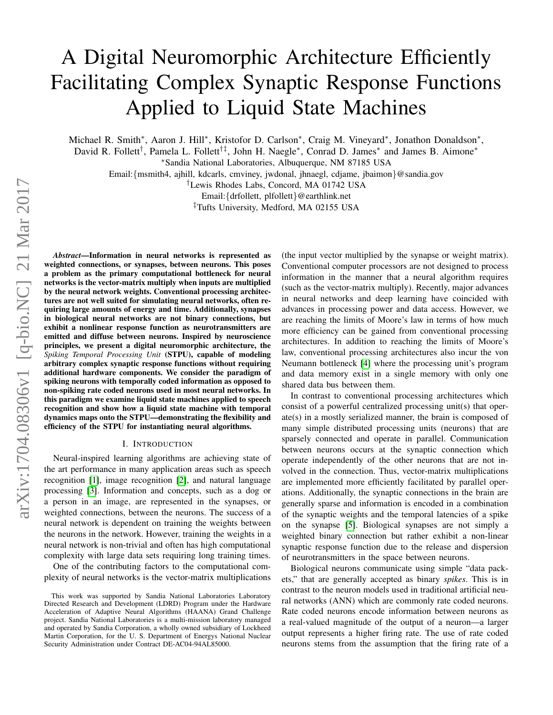# <span id="page-0-0"></span>A Digital Neuromorphic Architecture Efficiently Facilitating Complex Synaptic Response Functions Applied to Liquid State Machines

Michael R. Smith\*, Aaron J. Hill\*, Kristofor D. Carlson\*, Craig M. Vineyard\*, Jonathon Donaldson\*,

David R. Follett<sup>†</sup>, Pamela L. Follett<sup>†‡</sup>, John H. Naegle<sup>∗</sup>, Conrad D. James<sup>∗</sup> and James B. Aimone<sup>∗</sup> <sup>∗</sup>Sandia National Laboratories, Albuquerque, NM 87185 USA

Email:{msmith4, ajhill, kdcarls, cmviney, jwdonal, jhnaegl, cdjame, jbaimon}@sandia.gov

†Lewis Rhodes Labs, Concord, MA 01742 USA

Email:{drfollett, plfollett}@earthlink.net

‡Tufts University, Medford, MA 02155 USA

*Abstract*—Information in neural networks is represented as weighted connections, or synapses, between neurons. This poses a problem as the primary computational bottleneck for neural networks is the vector-matrix multiply when inputs are multiplied by the neural network weights. Conventional processing architectures are not well suited for simulating neural networks, often requiring large amounts of energy and time. Additionally, synapses in biological neural networks are not binary connections, but exhibit a nonlinear response function as neurotransmitters are emitted and diffuse between neurons. Inspired by neuroscience principles, we present a digital neuromorphic architecture, the *Spiking Temporal Processing Unit* (STPU), capable of modeling arbitrary complex synaptic response functions without requiring additional hardware components. We consider the paradigm of spiking neurons with temporally coded information as opposed to non-spiking rate coded neurons used in most neural networks. In this paradigm we examine liquid state machines applied to speech recognition and show how a liquid state machine with temporal dynamics maps onto the STPU—demonstrating the flexibility and efficiency of the STPU for instantiating neural algorithms.

## I. INTRODUCTION

Neural-inspired learning algorithms are achieving state of the art performance in many application areas such as speech recognition [\[1\]](#page-7-0), image recognition [\[2\]](#page-7-1), and natural language processing [\[3\]](#page-7-2). Information and concepts, such as a dog or a person in an image, are represented in the synapses, or weighted connections, between the neurons. The success of a neural network is dependent on training the weights between the neurons in the network. However, training the weights in a neural network is non-trivial and often has high computational complexity with large data sets requiring long training times.

One of the contributing factors to the computational complexity of neural networks is the vector-matrix multiplications (the input vector multiplied by the synapse or weight matrix). Conventional computer processors are not designed to process information in the manner that a neural algorithm requires (such as the vector-matrix multiply). Recently, major advances in neural networks and deep learning have coincided with advances in processing power and data access. However, we are reaching the limits of Moore's law in terms of how much more efficiency can be gained from conventional processing architectures. In addition to reaching the limits of Moore's law, conventional processing architectures also incur the von Neumann bottleneck [\[4\]](#page-7-3) where the processing unit's program and data memory exist in a single memory with only one shared data bus between them.

In contrast to conventional processing architectures which consist of a powerful centralized processing unit(s) that operate(s) in a mostly serialized manner, the brain is composed of many simple distributed processing units (neurons) that are sparsely connected and operate in parallel. Communication between neurons occurs at the synaptic connection which operate independently of the other neurons that are not involved in the connection. Thus, vector-matrix multiplications are implemented more efficiently facilitated by parallel operations. Additionally, the synaptic connections in the brain are generally sparse and information is encoded in a combination of the synaptic weights and the temporal latencies of a spike on the synapse [\[5\]](#page-7-4). Biological synapses are not simply a weighted binary connection but rather exhibit a non-linear synaptic response function due to the release and dispersion of neurotransmitters in the space between neurons.

Biological neurons communicate using simple "data packets," that are generally accepted as binary *spikes*. This is in contrast to the neuron models used in traditional artificial neural networks (ANN) which are commonly rate coded neurons. Rate coded neurons encode information between neurons as a real-valued magnitude of the output of a neuron—a larger output represents a higher firing rate. The use of rate coded neurons stems from the assumption that the firing rate of a

This work was supported by Sandia National Laboratories Laboratory Directed Research and Development (LDRD) Program under the Hardware Acceleration of Adaptive Neural Algorithms (HAANA) Grand Challenge project. Sandia National Laboratories is a multi-mission laboratory managed and operated by Sandia Corporation, a wholly owned subsidiary of Lockheed Martin Corporation, for the U. S. Department of Energys National Nuclear Security Administration under Contract DE-AC04-94AL85000.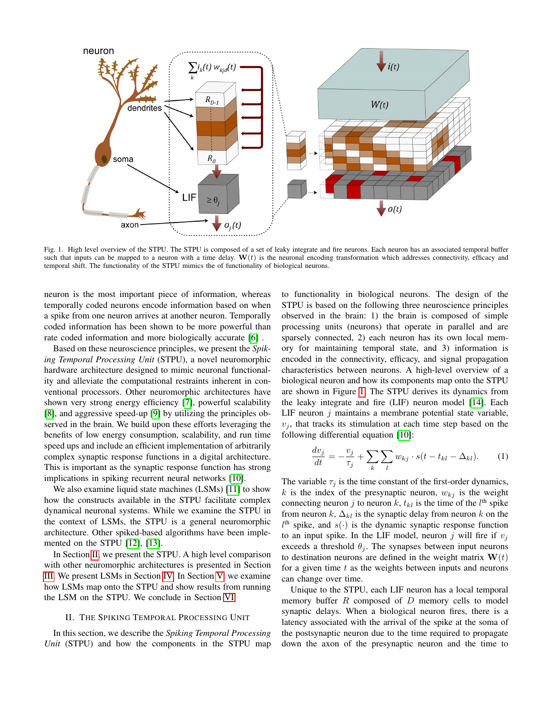

<span id="page-1-1"></span>Fig. 1. High level overview of the STPU. The STPU is composed of a set of leaky integrate and fire neurons. Each neuron has an associated temporal buffer such that inputs can be mapped to a neuron with a time delay.  $W(t)$  is the neuronal encoding transformation which addresses connectivity, efficacy and temporal shift. The functionality of the STPU mimics the of functionality of biological neurons.

neuron is the most important piece of information, whereas temporally coded neurons encode information based on when a spike from one neuron arrives at another neuron. Temporally coded information has been shown to be more powerful than rate coded information and more biologically accurate [\[6\]](#page-7-5) .

Based on these neuroscience principles, we present the *Spiking Temporal Processing Unit* (STPU), a novel neuromorphic hardware architecture designed to mimic neuronal functionality and alleviate the computational restraints inherent in conventional processors. Other neuromorphic architectures have shown very strong energy efficiency [\[7\]](#page-7-6), powerful scalability [\[8\]](#page-7-7), and aggressive speed-up [\[9\]](#page-7-8) by utilizing the principles observed in the brain. We build upon these efforts leveraging the benefits of low energy consumption, scalability, and run time speed ups and include an efficient implementation of arbitrarily complex synaptic response functions in a digital architecture. This is important as the synaptic response function has strong implications in spiking recurrent neural networks [\[10\]](#page-7-9).

We also examine liquid state machines (LSMs) [\[11\]](#page-7-10) to show how the constructs available in the STPU facilitate complex dynamical neuronal systems. While we examine the STPU in the context of LSMs, the STPU is a general neuromorphic architecture. Other spiked-based algorithms have been implemented on the STPU [\[12\]](#page-7-11), [\[13\]](#page-7-12).

In Section [II,](#page-1-0) we present the STPU. A high level comparison with other neuromorphic architectures is presented in Section [III.](#page-3-0) We present LSMs in Section [IV.](#page-3-1) In Section [V,](#page-4-0) we examine how LSMs map onto the STPU and show results from running the LSM on the STPU. We conclude in Section [VI.](#page-7-13)

### II. THE SPIKING TEMPORAL PROCESSING UNIT

<span id="page-1-0"></span>In this section, we describe the *Spiking Temporal Processing Unit* (STPU) and how the components in the STPU map to functionality in biological neurons. The design of the STPU is based on the following three neuroscience principles observed in the brain: 1) the brain is composed of simple processing units (neurons) that operate in parallel and are sparsely connected, 2) each neuron has its own local memory for maintaining temporal state, and 3) information is encoded in the connectivity, efficacy, and signal propagation characteristics between neurons. A high-level overview of a biological neuron and how its components map onto the STPU are shown in Figure [1.](#page-1-1) The STPU derives its dynamics from the leaky integrate and fire (LIF) neuron model [\[14\]](#page-7-14). Each LIF neuron  $j$  maintains a membrane potential state variable,  $v_i$ , that tracks its stimulation at each time step based on the following differential equation [\[10\]](#page-7-9):

<span id="page-1-2"></span>
$$
\frac{dv_j}{dt} = -\frac{v_j}{\tau_j} + \sum_k \sum_l w_{kj} \cdot s(t - t_{kl} - \Delta_{kl}).\tag{1}
$$

The variable  $\tau_i$  is the time constant of the first-order dynamics, k is the index of the presynaptic neuron,  $w_{ki}$  is the weight connecting neuron j to neuron k,  $t_{kl}$  is the time of the  $l<sup>th</sup>$  spike from neuron k,  $\Delta_{kl}$  is the synaptic delay from neuron k on the  $l<sup>th</sup>$  spike, and  $s(\cdot)$  is the dynamic synaptic response function to an input spike. In the LIF model, neuron j will fire if  $v_i$ exceeds a threshold  $\theta_i$ . The synapses between input neurons to destination neurons are defined in the weight matrix  $W(t)$ for a given time  $t$  as the weights between inputs and neurons can change over time.

Unique to the STPU, each LIF neuron has a local temporal memory buffer  $R$  composed of  $D$  memory cells to model synaptic delays. When a biological neuron fires, there is a latency associated with the arrival of the spike at the soma of the postsynaptic neuron due to the time required to propagate down the axon of the presynaptic neuron and the time to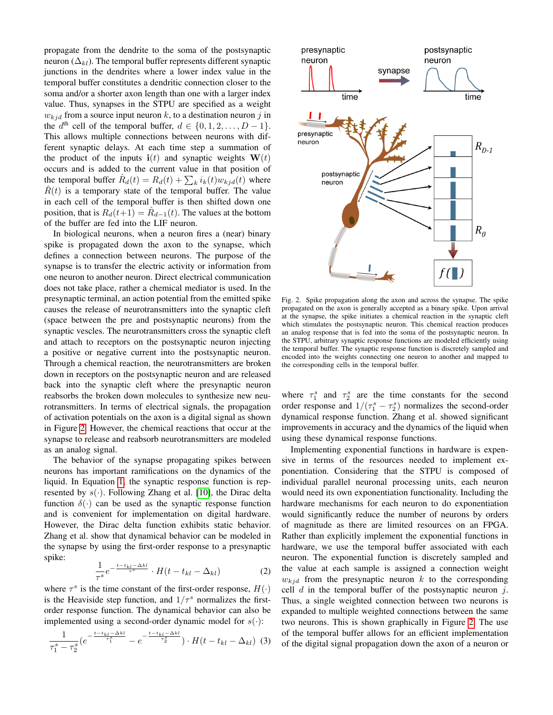propagate from the dendrite to the soma of the postsynaptic neuron ( $\Delta_{kl}$ ). The temporal buffer represents different synaptic junctions in the dendrites where a lower index value in the temporal buffer constitutes a dendritic connection closer to the soma and/or a shorter axon length than one with a larger index value. Thus, synapses in the STPU are specified as a weight  $w_{kid}$  from a source input neuron k, to a destination neuron j in the  $d^{\text{th}}$  cell of the temporal buffer,  $d \in \{0, 1, 2, \ldots, D - 1\}.$ This allows multiple connections between neurons with different synaptic delays. At each time step a summation of the product of the inputs  $\mathbf{i}(t)$  and synaptic weights  $\mathbf{W}(t)$ occurs and is added to the current value in that position of the temporal buffer  $\hat{R}_d(t) = R_d(t) + \sum_k i_k(t) w_{kj} d(t)$  where  $\hat{R}(t)$  is a temporary state of the temporal buffer. The value in each cell of the temporal buffer is then shifted down one position, that is  $R_d(t+1) = \hat{R}_{d-1}(t)$ . The values at the bottom of the buffer are fed into the LIF neuron.

In biological neurons, when a neuron fires a (near) binary spike is propagated down the axon to the synapse, which defines a connection between neurons. The purpose of the synapse is to transfer the electric activity or information from one neuron to another neuron. Direct electrical communication does not take place, rather a chemical mediator is used. In the presynaptic terminal, an action potential from the emitted spike causes the release of neurotransmitters into the synaptic cleft (space between the pre and postsynaptic neurons) from the synaptic vescles. The neurotransmitters cross the synaptic cleft and attach to receptors on the postsynaptic neuron injecting a positive or negative current into the postsynaptic neuron. Through a chemical reaction, the neurotransmitters are broken down in receptors on the postsynaptic neuron and are released back into the synaptic cleft where the presynaptic neuron reabsorbs the broken down molecules to synthesize new neurotransmitters. In terms of electrical signals, the propagation of activation potentials on the axon is a digital signal as shown in Figure [2.](#page-2-0) However, the chemical reactions that occur at the synapse to release and reabsorb neurotransmitters are modeled as an analog signal.

The behavior of the synapse propagating spikes between neurons has important ramifications on the dynamics of the liquid. In Equation [1,](#page-1-2) the synaptic response function is represented by  $s(\cdot)$ . Following Zhang et al. [\[10\]](#page-7-9), the Dirac delta function  $\delta(\cdot)$  can be used as the synaptic response function and is convenient for implementation on digital hardware. However, the Dirac delta function exhibits static behavior. Zhang et al. show that dynamical behavior can be modeled in the synapse by using the first-order response to a presynaptic spike:

$$
\frac{1}{\tau^s} e^{-\frac{t - t_{kl} - \Delta kl}{\tau^s}} \cdot H(t - t_{kl} - \Delta_{kl})
$$
\n(2)

where  $\tau^s$  is the time constant of the first-order response,  $H(\cdot)$ is the Heaviside step function, and  $1/\tau^s$  normalizes the firstorder response function. The dynamical behavior can also be implemented using a second-order dynamic model for  $s(\cdot)$ :

<span id="page-2-1"></span>
$$
\frac{1}{\tau_1^s - \tau_2^s} \left(e^{-\frac{t - t_{kl} - \Delta kl}{\tau_1^s}} - e^{-\frac{t - t_{kl} - \Delta kl}{\tau_2^s}}\right) \cdot H\left(t - t_{kl} - \Delta_{kl}\right) \tag{3}
$$



<span id="page-2-0"></span>Fig. 2. Spike propagation along the axon and across the synapse. The spike propagated on the axon is generally accepted as a binary spike. Upon arrival at the synapse, the spike initiates a chemical reaction in the synaptic cleft which stimulates the postsynaptic neuron. This chemical reaction produces an analog response that is fed into the soma of the postsynaptic neuron. In the STPU, arbitrary synaptic response functions are modeled efficiently using the temporal buffer. The synaptic response function is discretely sampled and encoded into the weights connecting one neuron to another and mapped to the corresponding cells in the temporal buffer.

where  $\tau_1^s$  and  $\tau_2^s$  are the time constants for the second order response and  $1/(\tau_1^s - \tau_2^s)$  normalizes the second-order dynamical response function. Zhang et al. showed significant improvements in accuracy and the dynamics of the liquid when using these dynamical response functions.

Implementing exponential functions in hardware is expensive in terms of the resources needed to implement exponentiation. Considering that the STPU is composed of individual parallel neuronal processing units, each neuron would need its own exponentiation functionality. Including the hardware mechanisms for each neuron to do exponentiation would significantly reduce the number of neurons by orders of magnitude as there are limited resources on an FPGA. Rather than explicitly implement the exponential functions in hardware, we use the temporal buffer associated with each neuron. The exponential function is discretely sampled and the value at each sample is assigned a connection weight  $w_{kid}$  from the presynaptic neuron k to the corresponding cell  $d$  in the temporal buffer of the postsynaptic neuron  $j$ . Thus, a single weighted connection between two neurons is expanded to multiple weighted connections between the same two neurons. This is shown graphically in Figure [2.](#page-2-0) The use of the temporal buffer allows for an efficient implementation of the digital signal propagation down the axon of a neuron or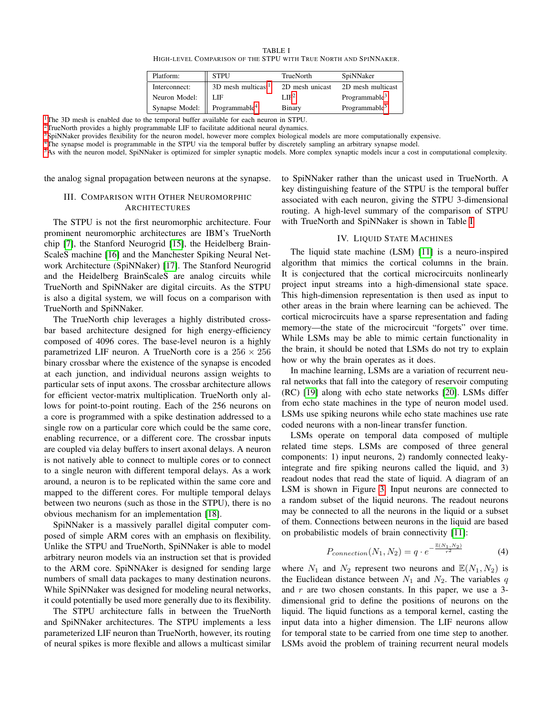| TABLE I |                                                                  |  |  |  |  |  |
|---------|------------------------------------------------------------------|--|--|--|--|--|
|         | HIGH-LEVEL COMPARISON OF THE STPU WITH TRUE NORTH AND SPINNAKER. |  |  |  |  |  |

| Platform:                                            | <b>STPU</b>                    | <b>TrueNorth</b>  | SpiNNaker                 |
|------------------------------------------------------|--------------------------------|-------------------|---------------------------|
| Interconnect:                                        | 3D mesh multicast <sup>1</sup> | 2D mesh unicast   | 2D mesh multicast         |
| Neuron Model:                                        | LIF.                           | I.IF <sup>2</sup> | Programmable <sup>3</sup> |
| Synapse Model: $\parallel$ Programmable <sup>4</sup> |                                | Binary            | Programmable <sup>5</sup> |

<span id="page-3-2"></span><sup>[1](#page-0-0)</sup>The 3D mesh is enabled due to the temporal buffer available for each neuron in STPU.

[2](#page-0-0)TrueNorth provides a highly programmable LIF to facilitate additional neural dynamics.

[3](#page-0-0)SpiNNaker provides flexibility for the neuron model, however more complex biological models are more computationally expensive.

<sup>[4](#page-0-0)</sup>The synapse model is programmable in the STPU via the temporal buffer by discretely sampling an arbitrary synapse model.

 $5$ As with the neuron model, SpiNNaker is optimized for simpler synaptic models. More complex synaptic models incur a cost in computational complexity.

<span id="page-3-0"></span>the analog signal propagation between neurons at the synapse.

# III. COMPARISON WITH OTHER NEUROMORPHIC **ARCHITECTURES**

The STPU is not the first neuromorphic architecture. Four prominent neuromorphic architectures are IBM's TrueNorth chip [\[7\]](#page-7-6), the Stanford Neurogrid [\[15\]](#page-7-15), the Heidelberg Brain-ScaleS machine [\[16\]](#page-7-16) and the Manchester Spiking Neural Network Architecture (SpiNNaker) [\[17\]](#page-7-17). The Stanford Neurogrid and the Heidelberg BrainScaleS are analog circuits while TrueNorth and SpiNNaker are digital circuits. As the STPU is also a digital system, we will focus on a comparison with TrueNorth and SpiNNaker.

The TrueNorth chip leverages a highly distributed crossbar based architecture designed for high energy-efficiency composed of 4096 cores. The base-level neuron is a highly parametrized LIF neuron. A TrueNorth core is a  $256 \times 256$ binary crossbar where the existence of the synapse is encoded at each junction, and individual neurons assign weights to particular sets of input axons. The crossbar architecture allows for efficient vector-matrix multiplication. TrueNorth only allows for point-to-point routing. Each of the 256 neurons on a core is programmed with a spike destination addressed to a single row on a particular core which could be the same core, enabling recurrence, or a different core. The crossbar inputs are coupled via delay buffers to insert axonal delays. A neuron is not natively able to connect to multiple cores or to connect to a single neuron with different temporal delays. As a work around, a neuron is to be replicated within the same core and mapped to the different cores. For multiple temporal delays between two neurons (such as those in the STPU), there is no obvious mechanism for an implementation [\[18\]](#page-7-18).

SpiNNaker is a massively parallel digital computer composed of simple ARM cores with an emphasis on flexibility. Unlike the STPU and TrueNorth, SpiNNaker is able to model arbitrary neuron models via an instruction set that is provided to the ARM core. SpiNNAker is designed for sending large numbers of small data packages to many destination neurons. While SpiNNaker was designed for modeling neural networks, it could potentially be used more generally due to its flexibility.

The STPU architecture falls in between the TrueNorth and SpiNNaker architectures. The STPU implements a less parameterized LIF neuron than TrueNorth, however, its routing of neural spikes is more flexible and allows a multicast similar to SpiNNaker rather than the unicast used in TrueNorth. A key distinguishing feature of the STPU is the temporal buffer associated with each neuron, giving the STPU 3-dimensional routing. A high-level summary of the comparison of STPU with TrueNorth and SpiNNaker is shown in Table [I.](#page-3-2)

## IV. LIQUID STATE MACHINES

<span id="page-3-1"></span>The liquid state machine (LSM) [\[11\]](#page-7-10) is a neuro-inspired algorithm that mimics the cortical columns in the brain. It is conjectured that the cortical microcircuits nonlinearly project input streams into a high-dimensional state space. This high-dimension representation is then used as input to other areas in the brain where learning can be achieved. The cortical microcircuits have a sparse representation and fading memory—the state of the microcircuit "forgets" over time. While LSMs may be able to mimic certain functionality in the brain, it should be noted that LSMs do not try to explain how or why the brain operates as it does.

In machine learning, LSMs are a variation of recurrent neural networks that fall into the category of reservoir computing (RC) [\[19\]](#page-7-19) along with echo state networks [\[20\]](#page-7-20). LSMs differ from echo state machines in the type of neuron model used. LSMs use spiking neurons while echo state machines use rate coded neurons with a non-linear transfer function.

LSMs operate on temporal data composed of multiple related time steps. LSMs are composed of three general components: 1) input neurons, 2) randomly connected leakyintegrate and fire spiking neurons called the liquid, and 3) readout nodes that read the state of liquid. A diagram of an LSM is shown in Figure [3.](#page-4-1) Input neurons are connected to a random subset of the liquid neurons. The readout neurons may be connected to all the neurons in the liquid or a subset of them. Connections between neurons in the liquid are based on probabilistic models of brain connectivity [\[11\]](#page-7-10):

<span id="page-3-3"></span>
$$
P_{connection}(N_1, N_2) = q \cdot e^{-\frac{\mathbb{E}(N_1, N_2)}{r^2}} \tag{4}
$$

where  $N_1$  and  $N_2$  represent two neurons and  $\mathbb{E}(N_1, N_2)$  is the Euclidean distance between  $N_1$  and  $N_2$ . The variables q and  $r$  are two chosen constants. In this paper, we use a 3dimensional grid to define the positions of neurons on the liquid. The liquid functions as a temporal kernel, casting the input data into a higher dimension. The LIF neurons allow for temporal state to be carried from one time step to another. LSMs avoid the problem of training recurrent neural models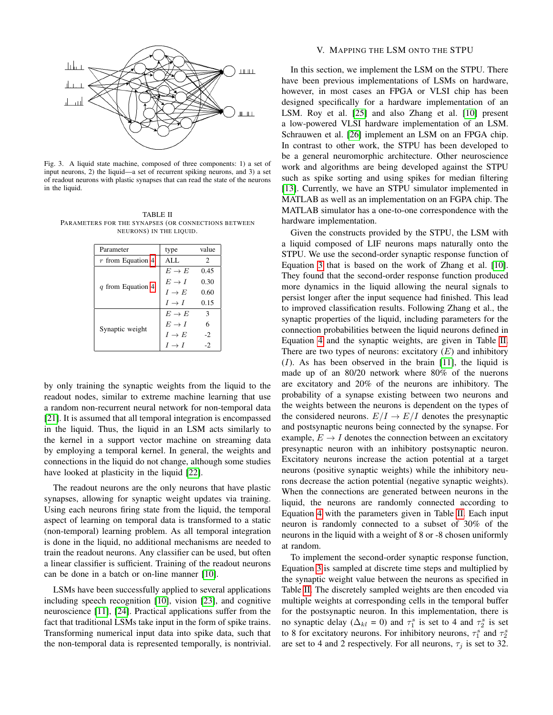

<span id="page-4-1"></span>Fig. 3. A liquid state machine, composed of three components: 1) a set of input neurons, 2) the liquid—a set of recurrent spiking neurons, and 3) a set of readout neurons with plastic synapses that can read the state of the neurons in the liquid.

<span id="page-4-2"></span>TABLE II PARAMETERS FOR THE SYNAPSES (OR CONNECTIONS BETWEEN NEURONS) IN THE LIQUID.

| Parameter           | type              | value                         |  |
|---------------------|-------------------|-------------------------------|--|
| $r$ from Equation 4 | AI.               | $\mathfrak{D}_{\mathfrak{p}}$ |  |
|                     | $E \rightarrow E$ | 0.45                          |  |
| q from Equation 4   | $E \rightarrow I$ | 0.30                          |  |
|                     | $I \rightarrow E$ | 0.60                          |  |
|                     | $I \rightarrow I$ | 0.15                          |  |
|                     | $E \rightarrow E$ | 3                             |  |
| Synaptic weight     | $E \rightarrow I$ | 6                             |  |
|                     | $I \rightarrow E$ | $-2$                          |  |
|                     | $I \rightarrow I$ | $-2$                          |  |

by only training the synaptic weights from the liquid to the readout nodes, similar to extreme machine learning that use a random non-recurrent neural network for non-temporal data [\[21\]](#page-7-21). It is assumed that all temporal integration is encompassed in the liquid. Thus, the liquid in an LSM acts similarly to the kernel in a support vector machine on streaming data by employing a temporal kernel. In general, the weights and connections in the liquid do not change, although some studies have looked at plasticity in the liquid [\[22\]](#page-7-22).

The readout neurons are the only neurons that have plastic synapses, allowing for synaptic weight updates via training. Using each neurons firing state from the liquid, the temporal aspect of learning on temporal data is transformed to a static (non-temporal) learning problem. As all temporal integration is done in the liquid, no additional mechanisms are needed to train the readout neurons. Any classifier can be used, but often a linear classifier is sufficient. Training of the readout neurons can be done in a batch or on-line manner [\[10\]](#page-7-9).

LSMs have been successfully applied to several applications including speech recognition [\[10\]](#page-7-9), vision [\[23\]](#page-7-23), and cognitive neuroscience [\[11\]](#page-7-10), [\[24\]](#page-7-24). Practical applications suffer from the fact that traditional LSMs take input in the form of spike trains. Transforming numerical input data into spike data, such that the non-temporal data is represented temporally, is nontrivial.

## V. MAPPING THE LSM ONTO THE STPU

<span id="page-4-0"></span>In this section, we implement the LSM on the STPU. There have been previous implementations of LSMs on hardware, however, in most cases an FPGA or VLSI chip has been designed specifically for a hardware implementation of an LSM. Roy et al. [\[25\]](#page-7-25) and also Zhang et al. [\[10\]](#page-7-9) present a low-powered VLSI hardware implementation of an LSM. Schrauwen et al. [\[26\]](#page-7-26) implement an LSM on an FPGA chip. In contrast to other work, the STPU has been developed to be a general neuromorphic architecture. Other neuroscience work and algorithms are being developed against the STPU such as spike sorting and using spikes for median filtering [\[13\]](#page-7-12). Currently, we have an STPU simulator implemented in MATLAB as well as an implementation on an FGPA chip. The MATLAB simulator has a one-to-one correspondence with the hardware implementation.

Given the constructs provided by the STPU, the LSM with a liquid composed of LIF neurons maps naturally onto the STPU. We use the second-order synaptic response function of Equation [3](#page-2-1) that is based on the work of Zhang et al. [\[10\]](#page-7-9). They found that the second-order response function produced more dynamics in the liquid allowing the neural signals to persist longer after the input sequence had finished. This lead to improved classification results. Following Zhang et al., the synaptic properties of the liquid, including parameters for the connection probabilities between the liquid neurons defined in Equation [4](#page-3-3) and the synaptic weights, are given in Table [II.](#page-4-2) There are two types of neurons: excitatory  $(E)$  and inhibitory  $(I)$ . As has been observed in the brain [\[11\]](#page-7-10), the liquid is made up of an 80/20 network where 80% of the nuerons are excitatory and 20% of the neurons are inhibitory. The probability of a synapse existing between two neurons and the weights between the neurons is dependent on the types of the considered neurons.  $E/I \rightarrow E/I$  denotes the presynaptic and postsynaptic neurons being connected by the synapse. For example,  $E \rightarrow I$  denotes the connection between an excitatory presynaptic neuron with an inhibitory postsynaptic neuron. Excitatory neurons increase the action potential at a target neurons (positive synaptic weights) while the inhibitory neurons decrease the action potential (negative synaptic weights). When the connections are generated between neurons in the liquid, the neurons are randomly connected according to Equation [4](#page-3-3) with the parameters given in Table [II.](#page-4-2) Each input neuron is randomly connected to a subset of 30% of the neurons in the liquid with a weight of 8 or -8 chosen uniformly at random.

To implement the second-order synaptic response function, Equation [3](#page-2-1) is sampled at discrete time steps and multiplied by the synaptic weight value between the neurons as specified in Table [II.](#page-4-2) The discretely sampled weights are then encoded via multiple weights at corresponding cells in the temporal buffer for the postsynaptic neuron. In this implementation, there is no synaptic delay ( $\Delta_{kl} = 0$ ) and  $\tau_1^s$  is set to 4 and  $\tau_2^s$  is set to 8 for excitatory neurons. For inhibitory neurons,  $\tau_1^s$  and  $\tau_2^s$ are set to 4 and 2 respectively. For all neurons,  $\tau_j$  is set to 32.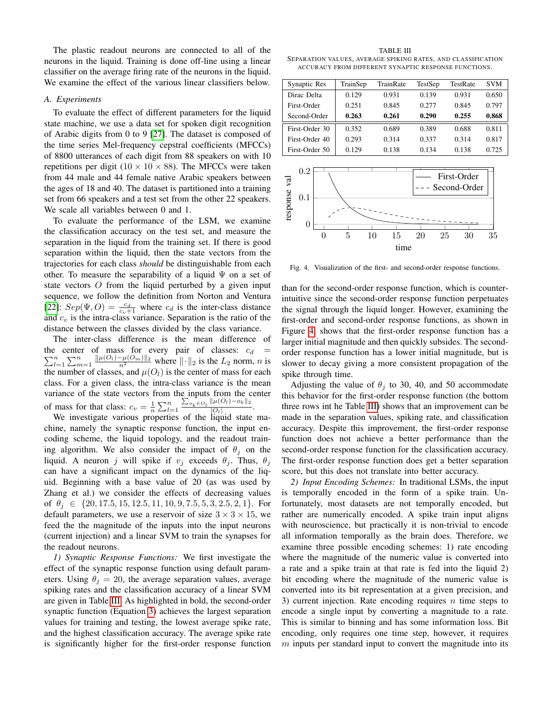The plastic readout neurons are connected to all of the neurons in the liquid. Training is done off-line using a linear classifier on the average firing rate of the neurons in the liquid. We examine the effect of the various linear classifiers below.

### *A. Experiments*

To evaluate the effect of different parameters for the liquid state machine, we use a data set for spoken digit recognition of Arabic digits from 0 to 9 [\[27\]](#page-7-27). The dataset is composed of the time series Mel-frequency cepstral coefficients (MFCCs) of 8800 utterances of each digit from 88 speakers on with 10 repetitions per digit ( $10 \times 10 \times 88$ ). The MFCCs were taken from 44 male and 44 female native Arabic speakers between the ages of 18 and 40. The dataset is partitioned into a training set from 66 speakers and a test set from the other 22 speakers. We scale all variables between 0 and 1.

To evaluate the performance of the LSM, we examine the classification accuracy on the test set, and measure the separation in the liquid from the training set. If there is good separation within the liquid, then the state vectors from the trajectories for each class *should* be distinguishable from each other. To measure the separability of a liquid  $\Psi$  on a set of state vectors O from the liquid perturbed by a given input sequence, we follow the definition from Norton and Ventura [\[22\]](#page-7-22):  $Sep(\Psi, O) = \frac{c_d}{c_v+1}$  where  $c_d$  is the inter-class distance and  $c_v$  is the intra-class variance. Separation is the ratio of the distance between the classes divided by the class variance.

The inter-class difference is the mean difference of  $\sum_{l=1}^{n} \sum_{m=1}^{n} \frac{\|\mu(O_l) - \mu(O_m)\|_2}{n^2}$  where  $\|\cdot\|_2$  is the  $L_2$  norm, n is the center of mass for every pair of classes:  $c_d$  = the number of classes, and  $\mu(O_l)$  is the center of mass for each class. For a given class, the intra-class variance is the mean variance of the state vectors from the inputs from the center of mass for that class:  $c_v = \frac{1}{n} \sum_{l=1}^n$  $\sum_{o_k \in O_l}$   $\|\mu(O_l) - o_k\|_2$  $\frac{|\mu(\sigma_l) - \sigma_{k}||^2}{|O_l|}$ .

We investigate various properties of the liquid state machine, namely the synaptic response function, the input encoding scheme, the liquid topology, and the readout training algorithm. We also consider the impact of  $\theta_i$  on the liquid. A neuron j will spike if  $v_i$  exceeds  $\theta_i$ . Thus,  $\theta_i$ can have a significant impact on the dynamics of the liquid. Beginning with a base value of 20 (as was used by Zhang et al.) we consider the effects of decreasing values of  $\theta_i \in \{20, 17.5, 15, 12.5, 11, 10, 9, 7.5, 5, 3, 2.5, 2, 1\}$ . For default parameters, we use a reservoir of size  $3 \times 3 \times 15$ , we feed the the magnitude of the inputs into the input neurons (current injection) and a linear SVM to train the synapses for the readout neurons.

*1) Synaptic Response Functions:* We first investigate the effect of the synaptic response function using default parameters. Using  $\theta_i = 20$ , the average separation values, average spiking rates and the classification accuracy of a linear SVM are given in Table [III.](#page-5-0) As highlighted in bold, the second-order synaptic function (Equation [3\)](#page-2-1) achieves the largest separation values for training and testing, the lowest average spike rate, and the highest classification accuracy. The average spike rate is significantly higher for the first-order response function

<span id="page-5-0"></span>TABLE III SEPARATION VALUES, AVERAGE SPIKING RATES, AND CLASSIFICATION ACCURACY FROM DIFFERENT SYNAPTIC RESPONSE FUNCTIONS.

| Synaptic Res   | TrainSep | TrainRate | TestSep | TestRate | <b>SVM</b> |
|----------------|----------|-----------|---------|----------|------------|
| Dirac Delta    | 0.129    | 0.931     | 0.139   | 0.931    | 0.650      |
| First-Order    | 0.251    | 0.845     | 0.277   | 0.845    | 0.797      |
| Second-Order   | 0.263    | 0.261     | 0.290   | 0.255    | 0.868      |
| First-Order 30 | 0.352    | 0.689     | 0.389   | 0.688    | 0.811      |
| First-Order 40 | 0.293    | 0.314     | 0.337   | 0.314    | 0.817      |
| First-Order 50 | 0.129    | 0.138     | 0.134   | 0.138    | 0.725      |



<span id="page-5-1"></span>Fig. 4. Visualization of the first- and second-order response functions.

than for the second-order response function, which is counterintuitive since the second-order response function perpetuates the signal through the liquid longer. However, examining the first-order and second-order response functions, as shown in Figure [4,](#page-5-1) shows that the first-order response function has a larger initial magnitude and then quickly subsides. The secondorder response function has a lower initial magnitude, but is slower to decay giving a more consistent propagation of the spike through time.

Adjusting the value of  $\theta_i$  to 30, 40, and 50 accommodate this behavior for the first-order response function (the bottom three rows int he Table [III\)](#page-5-0) shows that an improvement can be made in the separation values, spiking rate, and classification accuracy. Despite this improvement, the first-order response function does not achieve a better performance than the second-order response function for the classification accuracy. The first-order response function does get a better separation score, but this does not translate into better accuracy.

*2) Input Encoding Schemes:* In traditional LSMs, the input is temporally encoded in the form of a spike train. Unfortunately, most datasets are not temporally encoded, but rather are numerically encoded. A spike train input aligns with neuroscience, but practically it is non-trivial to encode all information temporally as the brain does. Therefore, we examine three possible encoding schemes: 1) rate encoding where the magnitude of the numeric value is converted into a rate and a spike train at that rate is fed into the liquid 2) bit encoding where the magnitude of the numeric value is converted into its bit representation at a given precision, and 3) current injection. Rate encoding requires  $n$  time steps to encode a single input by converting a magnitude to a rate. This is similar to binning and has some information loss. Bit encoding, only requires one time step, however, it requires  $m$  inputs per standard input to convert the magnitude into its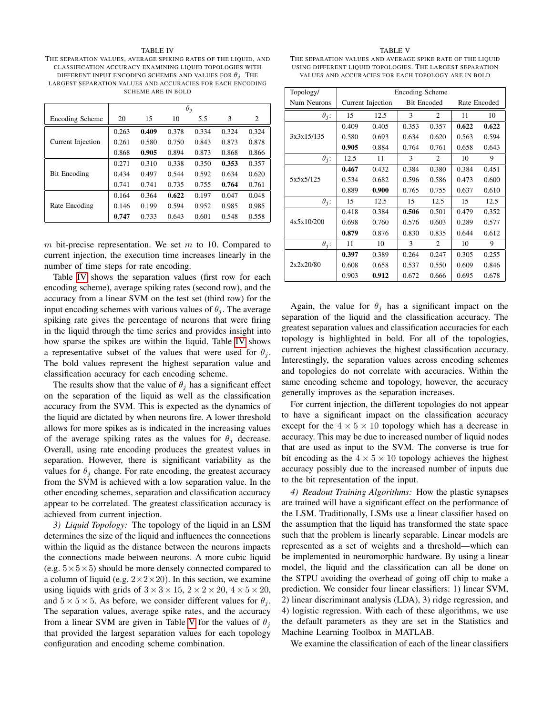#### TABLE IV

<span id="page-6-0"></span>THE SEPARATION VALUES, AVERAGE SPIKING RATES OF THE LIQUID, AND CLASSIFICATION ACCURACY EXAMINING LIQUID TOPOLOGIES WITH DIFFERENT INPUT ENCODING SCHEMES AND VALUES FOR  $\theta_i$ . The LARGEST SEPARATION VALUES AND ACCURACIES FOR EACH ENCODING SCHEME ARE IN BOLD

|                     | $\theta_i$ |       |       |       |       |       |
|---------------------|------------|-------|-------|-------|-------|-------|
| Encoding Scheme     | 20         | 15    | 10    | 5.5   | 3     | 2     |
|                     | 0.263      | 0.409 | 0.378 | 0.334 | 0.324 | 0.324 |
| Current Injection   | 0.261      | 0.580 | 0.750 | 0.843 | 0.873 | 0.878 |
|                     | 0.868      | 0.905 | 0.894 | 0.873 | 0.868 | 0.866 |
|                     | 0.271      | 0.310 | 0.338 | 0.350 | 0.353 | 0.357 |
| <b>Bit Encoding</b> | 0.434      | 0.497 | 0.544 | 0.592 | 0.634 | 0.620 |
|                     | 0.741      | 0.741 | 0.735 | 0.755 | 0.764 | 0.761 |
|                     | 0.164      | 0.364 | 0.622 | 0.197 | 0.047 | 0.048 |
| Rate Encoding       | 0.146      | 0.199 | 0.594 | 0.952 | 0.985 | 0.985 |
|                     | 0.747      | 0.733 | 0.643 | 0.601 | 0.548 | 0.558 |

m bit-precise representation. We set  $m$  to 10. Compared to current injection, the execution time increases linearly in the number of time steps for rate encoding.

Table [IV](#page-6-0) shows the separation values (first row for each encoding scheme), average spiking rates (second row), and the accuracy from a linear SVM on the test set (third row) for the input encoding schemes with various values of  $\theta_i$ . The average spiking rate gives the percentage of neurons that were firing in the liquid through the time series and provides insight into how sparse the spikes are within the liquid. Table [IV](#page-6-0) shows a representative subset of the values that were used for  $\theta_i$ . The bold values represent the highest separation value and classification accuracy for each encoding scheme.

The results show that the value of  $\theta_i$  has a significant effect on the separation of the liquid as well as the classification accuracy from the SVM. This is expected as the dynamics of the liquid are dictated by when neurons fire. A lower threshold allows for more spikes as is indicated in the increasing values of the average spiking rates as the values for  $\theta_i$  decrease. Overall, using rate encoding produces the greatest values in separation. However, there is significant variability as the values for  $\theta_i$  change. For rate encoding, the greatest accuracy from the SVM is achieved with a low separation value. In the other encoding schemes, separation and classification accuracy appear to be correlated. The greatest classification accuracy is achieved from current injection.

*3) Liquid Topology:* The topology of the liquid in an LSM determines the size of the liquid and influences the connections within the liquid as the distance between the neurons impacts the connections made between neurons. A more cubic liquid (e.g.  $5 \times 5 \times 5$ ) should be more densely connected compared to a column of liquid (e.g.  $2 \times 2 \times 20$ ). In this section, we examine using liquids with grids of  $3 \times 3 \times 15$ ,  $2 \times 2 \times 20$ ,  $4 \times 5 \times 20$ , and  $5 \times 5 \times 5$ . As before, we consider different values for  $\theta_i$ . The separation values, average spike rates, and the accuracy from a linear SVM are given in Table [V](#page-6-1) for the values of  $\theta_i$ that provided the largest separation values for each topology configuration and encoding scheme combination.

#### TABLE V

<span id="page-6-1"></span>THE SEPARATION VALUES AND AVERAGE SPIKE RATE OF THE LIQUID USING DIFFERENT LIQUID TOPOLOGIES. THE LARGEST SEPARATION VALUES AND ACCURACIES FOR EACH TOPOLOGY ARE IN BOLD

| Topology/    | Encoding Scheme   |       |                    |                |              |       |
|--------------|-------------------|-------|--------------------|----------------|--------------|-------|
| Num Neurons  | Current Injection |       | <b>Bit Encoded</b> |                | Rate Encoded |       |
| $\theta_j$ : | 15                | 12.5  | $\mathcal{E}$      | $\overline{c}$ | 11           | 10    |
|              | 0.409             | 0.405 | 0.353              | 0.357          | 0.622        | 0.622 |
| 3x3x15/135   | 0.580             | 0.693 | 0.634              | 0.620          | 0.563        | 0.594 |
|              | 0.905             | 0.884 | 0.764              | 0.761          | 0.658        | 0.643 |
| $\theta_j$ : | 12.5              | 11    | 3                  | 2              | 10           | 9     |
|              | 0.467             | 0.432 | 0.384              | 0.380          | 0.384        | 0.451 |
| 5x5x5/125    | 0.534             | 0.682 | 0.596              | 0.586          | 0.473        | 0.600 |
|              | 0.889             | 0.900 | 0.765              | 0.755          | 0.637        | 0.610 |
| $\theta_i$ : | 15                | 12.5  | 15                 | 12.5           | 15           | 12.5  |
|              | 0.418             | 0.384 | 0.506              | 0.501          | 0.479        | 0.352 |
| 4x5x10/200   | 0.698             | 0.760 | 0.576              | 0.603          | 0.289        | 0.577 |
|              | 0.879             | 0.876 | 0.830              | 0.835          | 0.644        | 0.612 |
| $\theta_j$ : | 11                | 10    | 3                  | 2              | 10           | 9     |
|              | 0.397             | 0.389 | 0.264              | 0.247          | 0.305        | 0.255 |
| 2x2x20/80    | 0.608             | 0.658 | 0.537              | 0.550          | 0.609        | 0.846 |
|              | 0.903             | 0.912 | 0.672              | 0.666          | 0.695        | 0.678 |

Again, the value for  $\theta_j$  has a significant impact on the separation of the liquid and the classification accuracy. The greatest separation values and classification accuracies for each topology is highlighted in bold. For all of the topologies, current injection achieves the highest classification accuracy. Interestingly, the separation values across encoding schemes and topologies do not correlate with accuracies. Within the same encoding scheme and topology, however, the accuracy generally improves as the separation increases.

For current injection, the different topologies do not appear to have a significant impact on the classification accuracy except for the  $4 \times 5 \times 10$  topology which has a decrease in accuracy. This may be due to increased number of liquid nodes that are used as input to the SVM. The converse is true for bit encoding as the  $4 \times 5 \times 10$  topology achieves the highest accuracy possibly due to the increased number of inputs due to the bit representation of the input.

*4) Readout Training Algorithms:* How the plastic synapses are trained will have a significant effect on the performance of the LSM. Traditionally, LSMs use a linear classifier based on the assumption that the liquid has transformed the state space such that the problem is linearly separable. Linear models are represented as a set of weights and a threshold—which can be implemented in neuromorphic hardware. By using a linear model, the liquid and the classification can all be done on the STPU avoiding the overhead of going off chip to make a prediction. We consider four linear classifiers: 1) linear SVM, 2) linear discriminant analysis (LDA), 3) ridge regression, and 4) logistic regression. With each of these algorithms, we use the default parameters as they are set in the Statistics and Machine Learning Toolbox in MATLAB.

We examine the classification of each of the linear classifiers